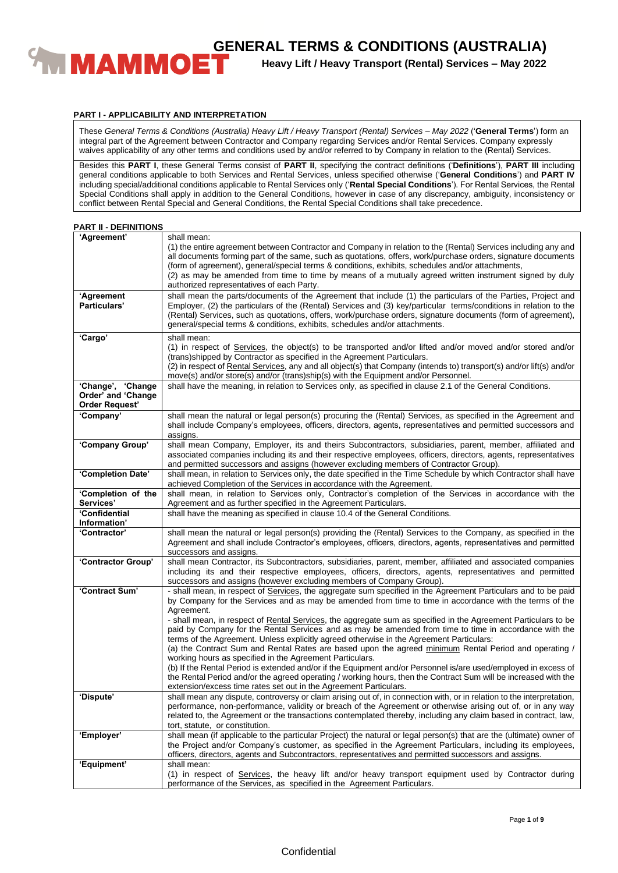

**Heavy Lift / Heavy Transport (Rental) Services – May 2022**

### **PART I - APPLICABILITY AND INTERPRETATION**

These *General Terms & Conditions (Australia) Heavy Lift / Heavy Transport (Rental) Services – May 2022* ('**General Terms**') form an integral part of the Agreement between Contractor and Company regarding Services and/or Rental Services. Company expressly waives applicability of any other terms and conditions used by and/or referred to by Company in relation to the (Rental) Services.

Besides this **PART I**, these General Terms consist of **PART II**, specifying the contract definitions ('**Definitions**'), **PART III** including general conditions applicable to both Services and Rental Services, unless specified otherwise ('**General Conditions**') and **PART IV** including special/additional conditions applicable to Rental Services only ('**Rental Special Conditions**'). For Rental Services, the Rental Special Conditions shall apply in addition to the General Conditions, however in case of any discrepancy, ambiguity, inconsistency or conflict between Rental Special and General Conditions, the Rental Special Conditions shall take precedence.

| <b>PART II - DEFINITIONS</b> |  |  |  |  |
|------------------------------|--|--|--|--|
|------------------------------|--|--|--|--|

| 'Agreement'                                                      | shall mean:<br>(1) the entire agreement between Contractor and Company in relation to the (Rental) Services including any and<br>all documents forming part of the same, such as quotations, offers, work/purchase orders, signature documents<br>(form of agreement), general/special terms & conditions, exhibits, schedules and/or attachments,<br>(2) as may be amended from time to time by means of a mutually agreed written instrument signed by duly                                                                                                                                                                                                                                                                                                                                                                                                                                                                                                                                                                                  |
|------------------------------------------------------------------|------------------------------------------------------------------------------------------------------------------------------------------------------------------------------------------------------------------------------------------------------------------------------------------------------------------------------------------------------------------------------------------------------------------------------------------------------------------------------------------------------------------------------------------------------------------------------------------------------------------------------------------------------------------------------------------------------------------------------------------------------------------------------------------------------------------------------------------------------------------------------------------------------------------------------------------------------------------------------------------------------------------------------------------------|
| 'Agreement<br>Particulars'                                       | authorized representatives of each Party.<br>shall mean the parts/documents of the Agreement that include (1) the particulars of the Parties, Project and<br>Employer, (2) the particulars of the (Rental) Services and (3) key/particular terms/conditions in relation to the<br>(Rental) Services, such as quotations, offers, work/purchase orders, signature documents (form of agreement),<br>general/special terms & conditions, exhibits, schedules and/or attachments.                                                                                                                                                                                                                                                                                                                                                                                                                                                                                                                                                                 |
| 'Cargo'                                                          | shall mean:<br>(1) in respect of Services, the object(s) to be transported and/or lifted and/or moved and/or stored and/or<br>(trans)shipped by Contractor as specified in the Agreement Particulars.<br>(2) in respect of Rental Services, any and all object(s) that Company (intends to) transport(s) and/or lift(s) and/or<br>move(s) and/or store(s) and/or (trans)ship(s) with the Equipment and/or Personnel.                                                                                                                                                                                                                                                                                                                                                                                                                                                                                                                                                                                                                           |
| 'Change', 'Change<br>Order' and 'Change<br><b>Order Request'</b> | shall have the meaning, in relation to Services only, as specified in clause 2.1 of the General Conditions.                                                                                                                                                                                                                                                                                                                                                                                                                                                                                                                                                                                                                                                                                                                                                                                                                                                                                                                                    |
| 'Company'                                                        | shall mean the natural or legal person(s) procuring the (Rental) Services, as specified in the Agreement and<br>shall include Company's employees, officers, directors, agents, representatives and permitted successors and<br>assigns.                                                                                                                                                                                                                                                                                                                                                                                                                                                                                                                                                                                                                                                                                                                                                                                                       |
| 'Company Group'                                                  | shall mean Company, Employer, its and theirs Subcontractors, subsidiaries, parent, member, affiliated and<br>associated companies including its and their respective employees, officers, directors, agents, representatives<br>and permitted successors and assigns (however excluding members of Contractor Group).                                                                                                                                                                                                                                                                                                                                                                                                                                                                                                                                                                                                                                                                                                                          |
| 'Completion Date'                                                | shall mean, in relation to Services only, the date specified in the Time Schedule by which Contractor shall have<br>achieved Completion of the Services in accordance with the Agreement.                                                                                                                                                                                                                                                                                                                                                                                                                                                                                                                                                                                                                                                                                                                                                                                                                                                      |
| 'Completion of the<br>Services'                                  | shall mean, in relation to Services only, Contractor's completion of the Services in accordance with the<br>Agreement and as further specified in the Agreement Particulars.                                                                                                                                                                                                                                                                                                                                                                                                                                                                                                                                                                                                                                                                                                                                                                                                                                                                   |
| 'Confidential<br>Information'                                    | shall have the meaning as specified in clause 10.4 of the General Conditions.                                                                                                                                                                                                                                                                                                                                                                                                                                                                                                                                                                                                                                                                                                                                                                                                                                                                                                                                                                  |
| 'Contractor'                                                     | shall mean the natural or legal person(s) providing the (Rental) Services to the Company, as specified in the<br>Agreement and shall include Contractor's employees, officers, directors, agents, representatives and permitted<br>successors and assigns.                                                                                                                                                                                                                                                                                                                                                                                                                                                                                                                                                                                                                                                                                                                                                                                     |
| 'Contractor Group'                                               | shall mean Contractor, its Subcontractors, subsidiaries, parent, member, affiliated and associated companies<br>including its and their respective employees, officers, directors, agents, representatives and permitted<br>successors and assigns (however excluding members of Company Group).                                                                                                                                                                                                                                                                                                                                                                                                                                                                                                                                                                                                                                                                                                                                               |
| 'Contract Sum'                                                   | - shall mean, in respect of Services, the aggregate sum specified in the Agreement Particulars and to be paid<br>by Company for the Services and as may be amended from time to time in accordance with the terms of the<br>Agreement.<br>- shall mean, in respect of Rental Services, the aggregate sum as specified in the Agreement Particulars to be<br>paid by Company for the Rental Services and as may be amended from time to time in accordance with the<br>terms of the Agreement. Unless explicitly agreed otherwise in the Agreement Particulars:<br>(a) the Contract Sum and Rental Rates are based upon the agreed minimum Rental Period and operating /<br>working hours as specified in the Agreement Particulars.<br>(b) If the Rental Period is extended and/or if the Equipment and/or Personnel is/are used/employed in excess of<br>the Rental Period and/or the agreed operating / working hours, then the Contract Sum will be increased with the<br>extension/excess time rates set out in the Agreement Particulars. |
| 'Dispute'                                                        | shall mean any dispute, controversy or claim arising out of, in connection with, or in relation to the interpretation,<br>performance, non-performance, validity or breach of the Agreement or otherwise arising out of, or in any way<br>related to, the Agreement or the transactions contemplated thereby, including any claim based in contract, law,<br>tort, statute, or constitution.                                                                                                                                                                                                                                                                                                                                                                                                                                                                                                                                                                                                                                                   |
| 'Employer'                                                       | shall mean (if applicable to the particular Project) the natural or legal person(s) that are the (ultimate) owner of<br>the Project and/or Company's customer, as specified in the Agreement Particulars, including its employees,<br>officers, directors, agents and Subcontractors, representatives and permitted successors and assigns.                                                                                                                                                                                                                                                                                                                                                                                                                                                                                                                                                                                                                                                                                                    |
| 'Equipment'                                                      | shall mean:<br>(1) in respect of Services, the heavy lift and/or heavy transport equipment used by Contractor during<br>performance of the Services, as specified in the Agreement Particulars.                                                                                                                                                                                                                                                                                                                                                                                                                                                                                                                                                                                                                                                                                                                                                                                                                                                |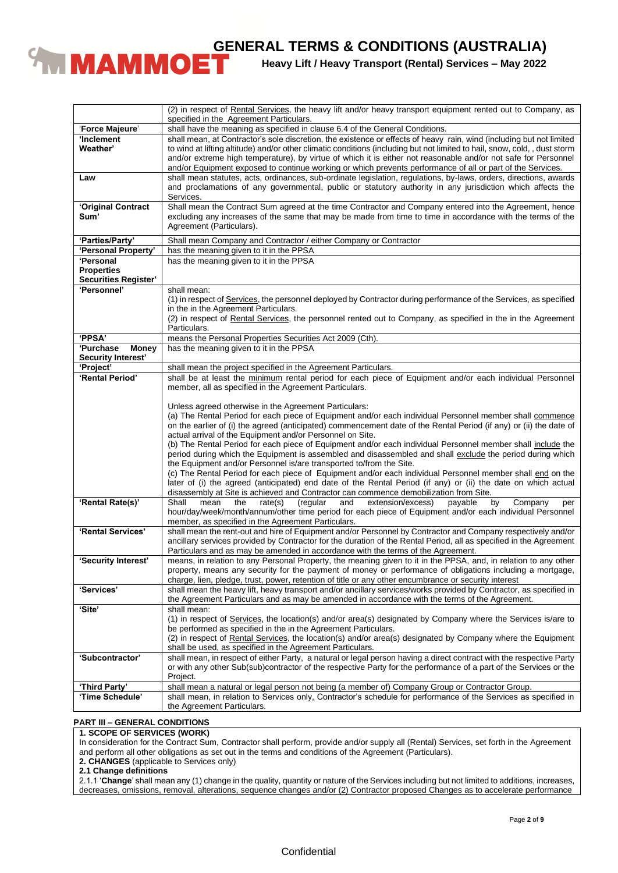

**Heavy Lift / Heavy Transport (Rental) Services – May 2022**

|                      | (2) in respect of Rental Services, the heavy lift and/or heavy transport equipment rented out to Company, as<br>specified in the Agreement Particulars. |
|----------------------|---------------------------------------------------------------------------------------------------------------------------------------------------------|
| 'Force Majeure'      | shall have the meaning as specified in clause 6.4 of the General Conditions.                                                                            |
| 'Inclement           | shall mean, at Contractor's sole discretion, the existence or effects of heavy rain, wind (including but not limited                                    |
| Weather'             | to wind at lifting altitude) and/or other climatic conditions (including but not limited to hail, snow, cold,, dust storm                               |
|                      | and/or extreme high temperature), by virtue of which it is either not reasonable and/or not safe for Personnel                                          |
|                      |                                                                                                                                                         |
|                      | and/or Equipment exposed to continue working or which prevents performance of all or part of the Services.                                              |
| Law                  | shall mean statutes, acts, ordinances, sub-ordinate legislation, regulations, by-laws, orders, directions, awards                                       |
|                      | and proclamations of any governmental, public or statutory authority in any jurisdiction which affects the                                              |
|                      | Services.                                                                                                                                               |
| 'Original Contract   | Shall mean the Contract Sum agreed at the time Contractor and Company entered into the Agreement, hence                                                 |
| Sum'                 | excluding any increases of the same that may be made from time to time in accordance with the terms of the                                              |
|                      | Agreement (Particulars).                                                                                                                                |
|                      |                                                                                                                                                         |
| 'Parties/Party'      | Shall mean Company and Contractor / either Company or Contractor                                                                                        |
| 'Personal Property'  | has the meaning given to it in the PPSA                                                                                                                 |
| <b>'Personal</b>     | has the meaning given to it in the PPSA                                                                                                                 |
| <b>Properties</b>    |                                                                                                                                                         |
| Securities Register' |                                                                                                                                                         |
| 'Personnel'          | shall mean:                                                                                                                                             |
|                      | (1) in respect of Services, the personnel deployed by Contractor during performance of the Services, as specified                                       |
|                      | in the in the Agreement Particulars.                                                                                                                    |
|                      | (2) in respect of Rental Services, the personnel rented out to Company, as specified in the in the Agreement                                            |
|                      | Particulars.                                                                                                                                            |
| 'PPSA'               | means the Personal Properties Securities Act 2009 (Cth).                                                                                                |
| 'Purchase            |                                                                                                                                                         |
| <b>Money</b>         | has the meaning given to it in the PPSA                                                                                                                 |
| Security Interest'   |                                                                                                                                                         |
| 'Project'            | shall mean the project specified in the Agreement Particulars.                                                                                          |
| 'Rental Period'      | shall be at least the minimum rental period for each piece of Equipment and/or each individual Personnel                                                |
|                      | member, all as specified in the Agreement Particulars.                                                                                                  |
|                      |                                                                                                                                                         |
|                      | Unless agreed otherwise in the Agreement Particulars:                                                                                                   |
|                      | (a) The Rental Period for each piece of Equipment and/or each individual Personnel member shall commence                                                |
|                      | on the earlier of (i) the agreed (anticipated) commencement date of the Rental Period (if any) or (ii) the date of                                      |
|                      | actual arrival of the Equipment and/or Personnel on Site.                                                                                               |
|                      | (b) The Rental Period for each piece of Equipment and/or each individual Personnel member shall include the                                             |
|                      | period during which the Equipment is assembled and disassembled and shall exclude the period during which                                               |
|                      | the Equipment and/or Personnel is/are transported to/from the Site.                                                                                     |
|                      | (c) The Rental Period for each piece of Equipment and/or each individual Personnel member shall end on the                                              |
|                      |                                                                                                                                                         |
|                      | later of (i) the agreed (anticipated) end date of the Rental Period (if any) or (ii) the date on which actual                                           |
|                      | disassembly at Site is achieved and Contractor can commence demobilization from Site.                                                                   |
| 'Rental Rate(s)'     | Shall<br>rate(s)<br>(regular<br>extension/excess)<br>payable<br>by<br>mean<br>the<br>and<br>Company<br>per                                              |
|                      | hour/day/week/month/annum/other time period for each piece of Equipment and/or each individual Personnel                                                |
|                      | member, as specified in the Agreement Particulars.                                                                                                      |
| 'Rental Services'    | shall mean the rent-out and hire of Equipment and/or Personnel by Contractor and Company respectively and/or                                            |
|                      | ancillary services provided by Contractor for the duration of the Rental Period, all as specified in the Agreement                                      |
|                      | Particulars and as may be amended in accordance with the terms of the Agreement.                                                                        |
| 'Security Interest'  | means, in relation to any Personal Property, the meaning given to it in the PPSA, and, in relation to any other                                         |
|                      | property, means any security for the payment of money or performance of obligations including a mortgage,                                               |
|                      | charge, lien, pledge, trust, power, retention of title or any other encumbrance or security interest                                                    |
| 'Services'           | shall mean the heavy lift, heavy transport and/or ancillary services/works provided by Contractor, as specified in                                      |
|                      |                                                                                                                                                         |
| 'Site'               |                                                                                                                                                         |
|                      | the Agreement Particulars and as may be amended in accordance with the terms of the Agreement.                                                          |
|                      | shall mean:                                                                                                                                             |
|                      | (1) in respect of Services, the location(s) and/or area(s) designated by Company where the Services is/are to                                           |
|                      | be performed as specified in the in the Agreement Particulars.                                                                                          |
|                      | (2) in respect of Rental Services, the location(s) and/or area(s) designated by Company where the Equipment                                             |
|                      | shall be used, as specified in the Agreement Particulars.                                                                                               |
| 'Subcontractor'      | shall mean, in respect of either Party, a natural or legal person having a direct contract with the respective Party                                    |
|                      | or with any other Sub(sub)contractor of the respective Party for the performance of a part of the Services or the                                       |
|                      | Project.                                                                                                                                                |
| 'Third Party'        | shall mean a natural or legal person not being (a member of) Company Group or Contractor Group.                                                         |
| 'Time Schedule'      | shall mean, in relation to Services only, Contractor's schedule for performance of the Services as specified in<br>the Agreement Particulars.           |

### **PART III – GENERAL CONDITIONS**

### **1. SCOPE OF SERVICES (WORK)**

In consideration for the Contract Sum, Contractor shall perform, provide and/or supply all (Rental) Services, set forth in the Agreement and perform all other obligations as set out in the terms and conditions of the Agreement (Particulars).

**2. CHANGES** (applicable to Services only)

**2.1 Change definitions**

2.1.1 '**Change**' shall mean any (1) change in the quality, quantity or nature of the Services including but not limited to additions, increases, decreases, omissions, removal, alterations, sequence changes and/or (2) Contractor proposed Changes as to accelerate performance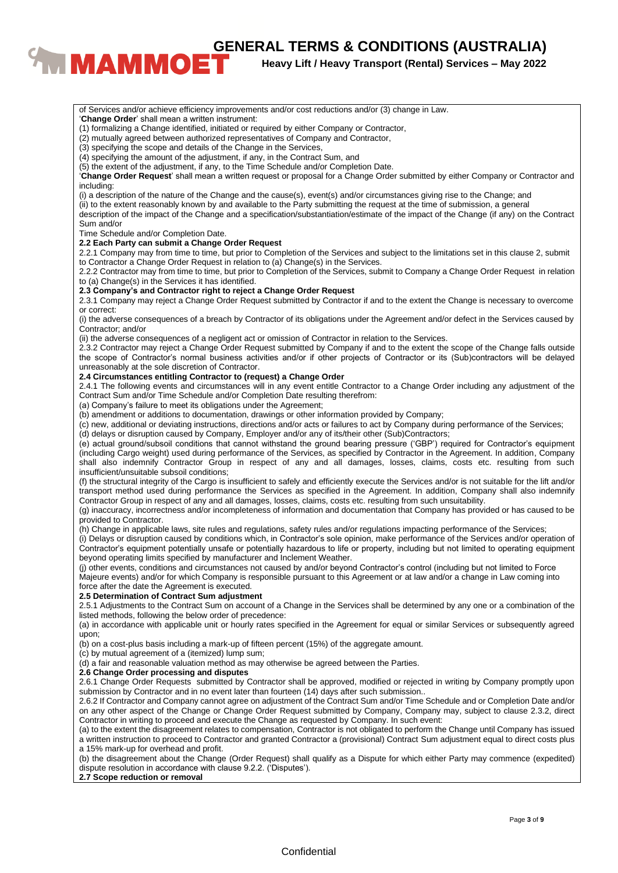**CENERAL TERMS & CONDITIONS (AUSTRALIA)**<br>**BENERAL TERMS & CONDITIONS (AUSTRALIA)**<br>Heavy Lift / Heavy Transport (Rental) Services – May 2022

**Heavy Lift / Heavy Transport (Rental) Services – May 2022**

**Confidential** (ii) the adverse consequences of a negligent act or omission of Contractor in relation to the Services. (a) Company's failure to meet its obligations under the Agreement; (b) amendment or additions to documentation, drawings or other information provided by Company; (h) Change in applicable laws, site rules and regulations, safety rules and/or regulations impacting performance of the Services; (i) Delays or disruption caused by conditions which, in Contractor's sole opinion, make performance of the Services and/or operation of force after the date the Agreement is executed. (b) on a cost-plus basis including a mark-up of fifteen percent (15%) of the aggregate amount.

of Services and/or achieve efficiency improvements and/or cost reductions and/or (3) change in Law.

(2) mutually agreed between authorized representatives of Company and Contractor,

(3) specifying the scope and details of the Change in the Services,

(4) specifying the amount of the adjustment, if any, in the Contract Sum, and

(5) the extent of the adjustment, if any, to the Time Schedule and/or Completion Date.

'**Change Order Request**' shall mean a written request or proposal for a Change Order submitted by either Company or Contractor and including:

(i) a description of the nature of the Change and the cause(s), event(s) and/or circumstances giving rise to the Change; and

(ii) to the extent reasonably known by and available to the Party submitting the request at the time of submission, a general description of the impact of the Change and a specification/substantiation/estimate of the impact of the Change (if any) on the Contract Sum and/or

Time Schedule and/or Completion Date.

### **2.2 Each Party can submit a Change Order Request**

2.2.1 Company may from time to time, but prior to Completion of the Services and subject to the limitations set in this clause 2, submit to Contractor a Change Order Request in relation to (a) Change(s) in the Services.

2.2.2 Contractor may from time to time, but prior to Completion of the Services, submit to Company a Change Order Request in relation to (a) Change(s) in the Services it has identified.

### **2.3 Company's and Contractor right to reject a Change Order Request**

2.3.1 Company may reject a Change Order Request submitted by Contractor if and to the extent the Change is necessary to overcome or correct:

(i) the adverse consequences of a breach by Contractor of its obligations under the Agreement and/or defect in the Services caused by Contractor; and/or

2.3.2 Contractor may reject a Change Order Request submitted by Company if and to the extent the scope of the Change falls outside the scope of Contractor's normal business activities and/or if other projects of Contractor or its (Sub)contractors will be delayed unreasonably at the sole discretion of Contractor.

### **2.4 Circumstances entitling Contractor to (request) a Change Order**

2.4.1 The following events and circumstances will in any event entitle Contractor to a Change Order including any adjustment of the Contract Sum and/or Time Schedule and/or Completion Date resulting therefrom:

(c) new, additional or deviating instructions, directions and/or acts or failures to act by Company during performance of the Services;

(d) delays or disruption caused by Company, Employer and/or any of its/their other (Sub)Contractors;

(e) actual ground/subsoil conditions that cannot withstand the ground bearing pressure ('GBP') required for Contractor's equipment (including Cargo weight) used during performance of the Services, as specified by Contractor in the Agreement. In addition, Company shall also indemnify Contractor Group in respect of any and all damages, losses, claims, costs etc. resulting from such insufficient/unsuitable subsoil conditions;

(f) the structural integrity of the Cargo is insufficient to safely and efficiently execute the Services and/or is not suitable for the lift and/or transport method used during performance the Services as specified in the Agreement. In addition, Company shall also indemnify Contractor Group in respect of any and all damages, losses, claims, costs etc. resulting from such unsuitability.

(g) inaccuracy, incorrectness and/or incompleteness of information and documentation that Company has provided or has caused to be provided to Contractor.

Contractor's equipment potentially unsafe or potentially hazardous to life or property, including but not limited to operating equipment beyond operating limits specified by manufacturer and Inclement Weather.

(j) other events, conditions and circumstances not caused by and/or beyond Contractor's control (including but not limited to Force Majeure events) and/or for which Company is responsible pursuant to this Agreement or at law and/or a change in Law coming into

### **2.5 Determination of Contract Sum adjustment**

2.5.1 Adjustments to the Contract Sum on account of a Change in the Services shall be determined by any one or a combination of the listed methods, following the below order of precedence:

(a) in accordance with applicable unit or hourly rates specified in the Agreement for equal or similar Services or subsequently agreed upon;

(c) by mutual agreement of a (itemized) lump sum;

(d) a fair and reasonable valuation method as may otherwise be agreed between the Parties.

### **2.6 Change Order processing and disputes**

2.6.1 Change Order Requests submitted by Contractor shall be approved, modified or rejected in writing by Company promptly upon submission by Contractor and in no event later than fourteen (14) days after such submission..

2.6.2 If Contractor and Company cannot agree on adjustment of the Contract Sum and/or Time Schedule and or Completion Date and/or on any other aspect of the Change or Change Order Request submitted by Company, Company may, subject to clause 2.3.2, direct Contractor in writing to proceed and execute the Change as requested by Company. In such event:

(a) to the extent the disagreement relates to compensation, Contractor is not obligated to perform the Change until Company has issued a written instruction to proceed to Contractor and granted Contractor a (provisional) Contract Sum adjustment equal to direct costs plus a 15% mark-up for overhead and profit.

(b) the disagreement about the Change (Order Request) shall qualify as a Dispute for which either Party may commence (expedited) dispute resolution in accordance with clause 9.2.2. ('Disputes').

### **2.7 Scope reduction or removal**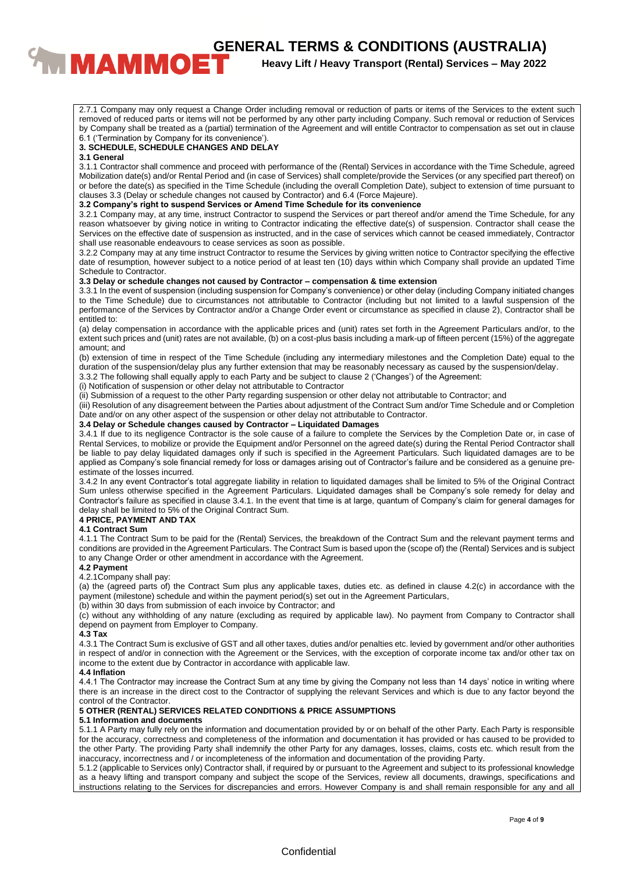# **CENERAL TERMS & CONDITIONS (AUSTRALIA)**<br>**BENERAL TERMS & CONDITIONS (AUSTRALIA)**<br>Heavy Lift / Heavy Transport (Rental) Services – May 2022

# **Heavy Lift / Heavy Transport (Rental) Services – May 2022**

2.7.1 Company may only request a Change Order including removal or reduction of parts or items of the Services to the extent such removed of reduced parts or items will not be performed by any other party including Company. Such removal or reduction of Services by Company shall be treated as a (partial) termination of the Agreement and will entitle Contractor to compensation as set out in clause 6.1 ('Termination by Company for its convenience').

### **3. SCHEDULE, SCHEDULE CHANGES AND DELAY**

### **3.1 General**

3.1.1 Contractor shall commence and proceed with performance of the (Rental) Services in accordance with the Time Schedule, agreed Mobilization date(s) and/or Rental Period and (in case of Services) shall complete/provide the Services (or any specified part thereof) on or before the date(s) as specified in the Time Schedule (including the overall Completion Date), subject to extension of time pursuant to clauses 3.3 (Delay or schedule changes not caused by Contractor) and 6.4 (Force Majeure).

### **3.2 Company's right to suspend Services or Amend Time Schedule for its convenience**

3.2.1 Company may, at any time, instruct Contractor to suspend the Services or part thereof and/or amend the Time Schedule, for any reason whatsoever by giving notice in writing to Contractor indicating the effective date(s) of suspension. Contractor shall cease the Services on the effective date of suspension as instructed, and in the case of services which cannot be ceased immediately, Contractor shall use reasonable endeavours to cease services as soon as possible.

3.2.2 Company may at any time instruct Contractor to resume the Services by giving written notice to Contractor specifying the effective date of resumption, however subject to a notice period of at least ten (10) days within which Company shall provide an updated Time Schedule to Contractor.

### **3.3 Delay or schedule changes not caused by Contractor – compensation & time extension**

3.3.1 In the event of suspension (including suspension for Company's convenience) or other delay (including Company initiated changes to the Time Schedule) due to circumstances not attributable to Contractor (including but not limited to a lawful suspension of the performance of the Services by Contractor and/or a Change Order event or circumstance as specified in clause 2), Contractor shall be entitled to:

(a) delay compensation in accordance with the applicable prices and (unit) rates set forth in the Agreement Particulars and/or, to the extent such prices and (unit) rates are not available, (b) on a cost-plus basis including a mark-up of fifteen percent (15%) of the aggregate amount; and

(b) extension of time in respect of the Time Schedule (including any intermediary milestones and the Completion Date) equal to the duration of the suspension/delay plus any further extension that may be reasonably necessary as caused by the suspension/delay.

3.3.2 The following shall equally apply to each Party and be subject to clause 2 ('Changes') of the Agreement:

(i) Notification of suspension or other delay not attributable to Contractor

(ii) Submission of a request to the other Party regarding suspension or other delay not attributable to Contractor; and

(iii) Resolution of any disagreement between the Parties about adjustment of the Contract Sum and/or Time Schedule and or Completion Date and/or on any other aspect of the suspension or other delay not attributable to Contractor.

### **3.4 Delay or Schedule changes caused by Contractor – Liquidated Damages**

3.4.1 If due to its negligence Contractor is the sole cause of a failure to complete the Services by the Completion Date or, in case of Rental Services, to mobilize or provide the Equipment and/or Personnel on the agreed date(s) during the Rental Period Contractor shall be liable to pay delay liquidated damages only if such is specified in the Agreement Particulars. Such liquidated damages are to be applied as Company's sole financial remedy for loss or damages arising out of Contractor's failure and be considered as a genuine preestimate of the losses incurred.

3.4.2 In any event Contractor's total aggregate liability in relation to liquidated damages shall be limited to 5% of the Original Contract Sum unless otherwise specified in the Agreement Particulars. Liquidated damages shall be Company's sole remedy for delay and Contractor's failure as specified in clause 3.4.1. In the event that time is at large, quantum of Company's claim for general damages for delay shall be limited to 5% of the Original Contract Sum.

## **4 PRICE, PAYMENT AND TAX**

### **4.1 Contract Sum**

4.1.1 The Contract Sum to be paid for the (Rental) Services, the breakdown of the Contract Sum and the relevant payment terms and conditions are provided in the Agreement Particulars. The Contract Sum is based upon the (scope of) the (Rental) Services and is subject to any Change Order or other amendment in accordance with the Agreement.

### **4.2 Payment**

#### 4.2.1Company shall pay:

(a) the (agreed parts of) the Contract Sum plus any applicable taxes, duties etc. as defined in clause 4.2(c) in accordance with the payment (milestone) schedule and within the payment period(s) set out in the Agreement Particulars,

(b) within 30 days from submission of each invoice by Contractor; and

(c) without any withholding of any nature (excluding as required by applicable law). No payment from Company to Contractor shall depend on payment from Employer to Company.

### **4.3 Tax**

4.3.1 The Contract Sum is exclusive of GST and all other taxes, duties and/or penalties etc. levied by government and/or other authorities in respect of and/or in connection with the Agreement or the Services, with the exception of corporate income tax and/or other tax on income to the extent due by Contractor in accordance with applicable law.

### **4.4 Inflation**

4.4.1 The Contractor may increase the Contract Sum at any time by giving the Company not less than 14 days' notice in writing where there is an increase in the direct cost to the Contractor of supplying the relevant Services and which is due to any factor beyond the control of the Contractor.

### **5 OTHER (RENTAL) SERVICES RELATED CONDITIONS & PRICE ASSUMPTIONS**

### **5.1 Information and documents**

5.1.1 A Party may fully rely on the information and documentation provided by or on behalf of the other Party. Each Party is responsible for the accuracy, correctness and completeness of the information and documentation it has provided or has caused to be provided to the other Party. The providing Party shall indemnify the other Party for any damages, losses, claims, costs etc. which result from the inaccuracy, incorrectness and / or incompleteness of the information and documentation of the providing Party.

5.1.2 (applicable to Services only) Contractor shall, if required by or pursuant to the Agreement and subject to its professional knowledge as a heavy lifting and transport company and subject the scope of the Services, review all documents, drawings, specifications and instructions relating to the Services for discrepancies and errors. However Company is and shall remain responsible for any and all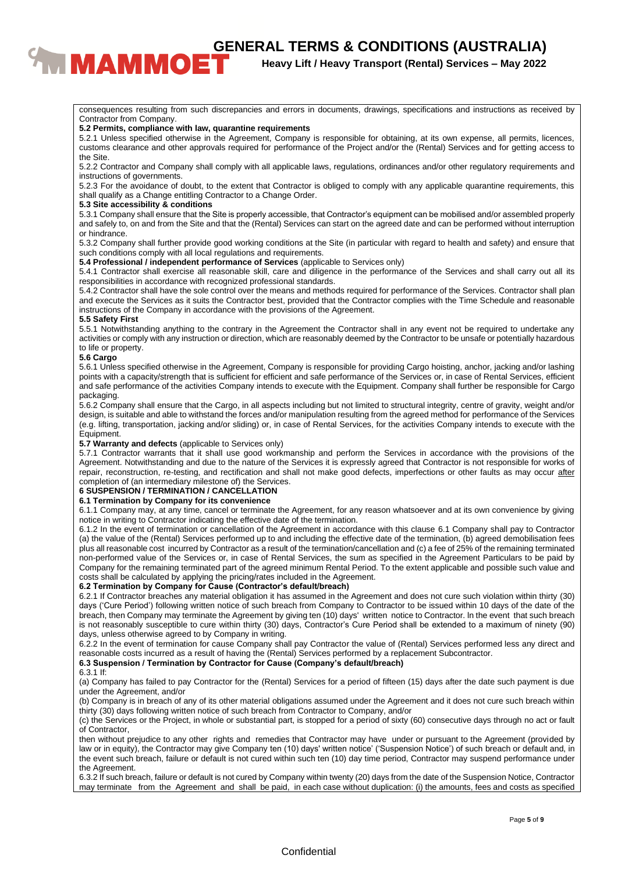**CENERAL TERMS & CONDITIONS (AUSTRALIA)**<br><sup>Heavy Lift / Heavy Transport (Rental) Services – May 2022</sup>

**Heavy Lift / Heavy Transport (Rental) Services – May 2022**

consequences resulting from such discrepancies and errors in documents, drawings, specifications and instructions as received by Contractor from Company.

### **5.2 Permits, compliance with law, quarantine requirements**

5.2.1 Unless specified otherwise in the Agreement, Company is responsible for obtaining, at its own expense, all permits, licences, customs clearance and other approvals required for performance of the Project and/or the (Rental) Services and for getting access to the Site.

5.2.2 Contractor and Company shall comply with all applicable laws, regulations, ordinances and/or other regulatory requirements and instructions of governments.

5.2.3 For the avoidance of doubt, to the extent that Contractor is obliged to comply with any applicable quarantine requirements, this shall qualify as a Change entitling Contractor to a Change Order.

### **5.3 Site accessibility & conditions**

5.3.1 Company shall ensure that the Site is properly accessible, that Contractor's equipment can be mobilised and/or assembled properly and safely to, on and from the Site and that the (Rental) Services can start on the agreed date and can be performed without interruption or hindrance.

5.3.2 Company shall further provide good working conditions at the Site (in particular with regard to health and safety) and ensure that such conditions comply with all local regulations and requirements.

**5.4 Professional / independent performance of Services** (applicable to Services only)

5.4.1 Contractor shall exercise all reasonable skill, care and diligence in the performance of the Services and shall carry out all its responsibilities in accordance with recognized professional standards.

5.4.2 Contractor shall have the sole control over the means and methods required for performance of the Services. Contractor shall plan and execute the Services as it suits the Contractor best, provided that the Contractor complies with the Time Schedule and reasonable instructions of the Company in accordance with the provisions of the Agreement.

### **5.5 Safety First**

5.5.1 Notwithstanding anything to the contrary in the Agreement the Contractor shall in any event not be required to undertake any activities or comply with any instruction or direction, which are reasonably deemed by the Contractor to be unsafe or potentially hazardous to life or property.

### **5.6 Cargo**

5.6.1 Unless specified otherwise in the Agreement, Company is responsible for providing Cargo hoisting, anchor, jacking and/or lashing points with a capacity/strength that is sufficient for efficient and safe performance of the Services or, in case of Rental Services, efficient and safe performance of the activities Company intends to execute with the Equipment. Company shall further be responsible for Cargo packaging.

5.6.2 Company shall ensure that the Cargo, in all aspects including but not limited to structural integrity, centre of gravity, weight and/or design, is suitable and able to withstand the forces and/or manipulation resulting from the agreed method for performance of the Services (e.g. lifting, transportation, jacking and/or sliding) or, in case of Rental Services, for the activities Company intends to execute with the Equipment.

### **5.7 Warranty and defects** (applicable to Services only)

5.7.1 Contractor warrants that it shall use good workmanship and perform the Services in accordance with the provisions of the Agreement. Notwithstanding and due to the nature of the Services it is expressly agreed that Contractor is not responsible for works of repair, reconstruction, re-testing, and rectification and shall not make good defects, imperfections or other faults as may occur after completion of (an intermediary milestone of) the Services.

### **6 SUSPENSION / TERMINATION / CANCELLATION**

### **6.1 Termination by Company for its convenience**

6.1.1 Company may, at any time, cancel or terminate the Agreement, for any reason whatsoever and at its own convenience by giving notice in writing to Contractor indicating the effective date of the termination.

6.1.2 In the event of termination or cancellation of the Agreement in accordance with this clause 6.1 Company shall pay to Contractor (a) the value of the (Rental) Services performed up to and including the effective date of the termination, (b) agreed demobilisation fees plus all reasonable cost incurred by Contractor as a result of the termination/cancellation and (c) a fee of 25% of the remaining terminated non-performed value of the Services or, in case of Rental Services, the sum as specified in the Agreement Particulars to be paid by Company for the remaining terminated part of the agreed minimum Rental Period. To the extent applicable and possible such value and costs shall be calculated by applying the pricing/rates included in the Agreement.

### **6.2 Termination by Company for Cause (Contractor's default/breach)**

6.2.1 If Contractor breaches any material obligation it has assumed in the Agreement and does not cure such violation within thirty (30) days ('Cure Period') following written notice of such breach from Company to Contractor to be issued within 10 days of the date of the breach, then Company may terminate the Agreement by giving ten (10) days' written notice to Contractor. ln the event that such breach is not reasonably susceptible to cure within thirty (30) days, Contractor's Cure Period shall be extended to a maximum of ninety (90) days, unless otherwise agreed to by Company in writing.

6.2.2 In the event of termination for cause Company shall pay Contractor the value of (Rental) Services performed less any direct and reasonable costs incurred as a result of having the (Rental) Services performed by a replacement Subcontractor.

### **6.3 Suspension / Termination by Contractor for Cause (Company's default/breach)**

6.3.1 If:

(a) Company has failed to pay Contractor for the (Rental) Services for a period of fifteen (15) days after the date such payment is due under the Agreement, and/or

(b) Company is in breach of any of its other material obligations assumed under the Agreement and it does not cure such breach within thirty (30) days following written notice of such breach from Contractor to Company, and/or

(c) the Services or the Project, in whole or substantial part, is stopped for a period of sixty (60) consecutive days through no act or fault of Contractor,

then without prejudice to any other rights and remedies that Contractor may have under or pursuant to the Agreement (provided by law or in equity), the Contractor may give Company ten (10) days' written notice' ('Suspension Notice') of such breach or default and, in the event such breach, failure or default is not cured within such ten (10) day time period, Contractor may suspend performance under the Agreement.

6.3.2 If such breach, failure or default is not cured by Company within twenty (20) days from the date of the Suspension Notice, Contractor may terminate from the Agreement and shall be paid, in each case without duplication: (i) the amounts, fees and costs as specified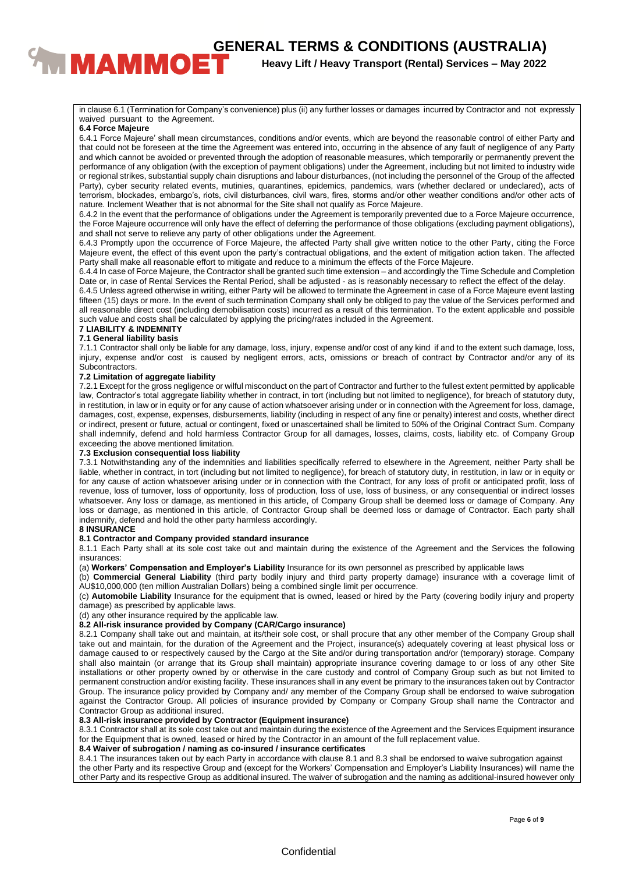**EXAMPLE THE RAL TERMS & CONDITIONS (AUSTRALIA)**<br><sup>Heavy Lift / Heavy Transport (Rental) Services – May 2022</sup>

**Heavy Lift / Heavy Transport (Rental) Services – May 2022**

in clause 6.1 (Termination for Company's convenience) plus (ii) any further losses or damages incurred by Contractor and not expressly waived pursuant to the Agreement.

### **6.4 Force Majeure**

6.4.1 Force Majeure' shall mean circumstances, conditions and/or events, which are beyond the reasonable control of either Party and that could not be foreseen at the time the Agreement was entered into, occurring in the absence of any fault of negligence of any Party and which cannot be avoided or prevented through the adoption of reasonable measures, which temporarily or permanently prevent the performance of any obligation (with the exception of payment obligations) under the Agreement, including but not limited to industry wide or regional strikes, substantial supply chain disruptions and labour disturbances, (not including the personnel of the Group of the affected Party), cyber security related events, mutinies, quarantines, epidemics, pandemics, wars (whether declared or undeclared), acts of terrorism, blockades, embargo's, riots, civil disturbances, civil wars, fires, storms and/or other weather conditions and/or other acts of nature. Inclement Weather that is not abnormal for the Site shall not qualify as Force Majeure.

6.4.2 In the event that the performance of obligations under the Agreement is temporarily prevented due to a Force Majeure occurrence, the Force Majeure occurrence will only have the effect of deferring the performance of those obligations (excluding payment obligations), and shall not serve to relieve any party of other obligations under the Agreement.

6.4.3 Promptly upon the occurrence of Force Majeure, the affected Party shall give written notice to the other Party, citing the Force Majeure event, the effect of this event upon the party's contractual obligations, and the extent of mitigation action taken. The affected Party shall make all reasonable effort to mitigate and reduce to a minimum the effects of the Force Majeure.

6.4.4 In case of Force Majeure, the Contractor shall be granted such time extension – and accordingly the Time Schedule and Completion Date or, in case of Rental Services the Rental Period, shall be adjusted - as is reasonably necessary to reflect the effect of the delay.

6.4.5 Unless agreed otherwise in writing, either Party will be allowed to terminate the Agreement in case of a Force Majeure event lasting fifteen (15) days or more. In the event of such termination Company shall only be obliged to pay the value of the Services performed and all reasonable direct cost (including demobilisation costs) incurred as a result of this termination. To the extent applicable and possible such value and costs shall be calculated by applying the pricing/rates included in the Agreement.

# **7 LIABILITY & INDEMNITY**

**7.1 General liability basis**

7.1.1 Contractor shall only be liable for any damage, loss, injury, expense and/or cost of any kind if and to the extent such damage, loss, injury, expense and/or cost is caused by negligent errors, acts, omissions or breach of contract by Contractor and/or any of its Subcontractors.

### **7.2 Limitation of aggregate liability**

7.2.1 Except for the gross negligence or wilful misconduct on the part of Contractor and further to the fullest extent permitted by applicable law, Contractor's total aggregate liability whether in contract, in tort (including but not limited to negligence), for breach of statutory duty, in restitution, in law or in equity or for any cause of action whatsoever arising under or in connection with the Agreement for loss, damage, damages, cost, expense, expenses, disbursements, liability (including in respect of any fine or penalty) interest and costs, whether direct or indirect, present or future, actual or contingent, fixed or unascertained shall be limited to 50% of the Original Contract Sum. Company shall indemnify, defend and hold harmless Contractor Group for all damages, losses, claims, costs, liability etc. of Company Group exceeding the above mentioned limitation.

### **7.3 Exclusion consequential loss liability**

7.3.1 Notwithstanding any of the indemnities and liabilities specifically referred to elsewhere in the Agreement, neither Party shall be liable, whether in contract, in tort (including but not limited to negligence), for breach of statutory duty, in restitution, in law or in equity or for any cause of action whatsoever arising under or in connection with the Contract, for any loss of profit or anticipated profit, loss of revenue, loss of turnover, loss of opportunity, loss of production, loss of use, loss of business, or any consequential or indirect losses whatsoever. Any loss or damage, as mentioned in this article, of Company Group shall be deemed loss or damage of Company. Any loss or damage, as mentioned in this article, of Contractor Group shall be deemed loss or damage of Contractor. Each party shall indemnify, defend and hold the other party harmless accordingly.

### **8 INSURANCE**

### **8.1 Contractor and Company provided standard insurance**

8.1.1 Each Party shall at its sole cost take out and maintain during the existence of the Agreement and the Services the following insurances:

(a) **Workers' Compensation and Employer's Liability** Insurance for its own personnel as prescribed by applicable laws

(b) **Commercial General Liability** (third party bodily injury and third party property damage) insurance with a coverage limit of AU\$10,000,000 (ten million Australian Dollars) being a combined single limit per occurrence.

(c) **Automobile Liability** Insurance for the equipment that is owned, leased or hired by the Party (covering bodily injury and property damage) as prescribed by applicable laws.

(d) any other insurance required by the applicable law.

### **8.2 All-risk insurance provided by Company (CAR/Cargo insurance)**

8.2.1 Company shall take out and maintain, at its/their sole cost, or shall procure that any other member of the Company Group shall take out and maintain, for the duration of the Agreement and the Project, insurance(s) adequately covering at least physical loss or damage caused to or respectively caused by the Cargo at the Site and/or during transportation and/or (temporary) storage. Company shall also maintain (or arrange that its Group shall maintain) appropriate insurance covering damage to or loss of any other Site installations or other property owned by or otherwise in the care custody and control of Company Group such as but not limited to permanent construction and/or existing facility. These insurances shall in any event be primary to the insurances taken out by Contractor Group. The insurance policy provided by Company and/ any member of the Company Group shall be endorsed to waive subrogation against the Contractor Group. All policies of insurance provided by Company or Company Group shall name the Contractor and Contractor Group as additional insured.

### **8.3 All-risk insurance provided by Contractor (Equipment insurance)**

8.3.1 Contractor shall at its sole cost take out and maintain during the existence of the Agreement and the Services Equipment insurance for the Equipment that is owned, leased or hired by the Contractor in an amount of the full replacement value.

**8.4 Waiver of subrogation / naming as co-insured / insurance certificates**

8.4.1 The insurances taken out by each Party in accordance with clause 8.1 and 8.3 shall be endorsed to waive subrogation against the other Party and its respective Group and (except for the Workers' Compensation and Employer's Liability Insurances) will name the other Party and its respective Group as additional insured. The waiver of subrogation and the naming as additional-insured however only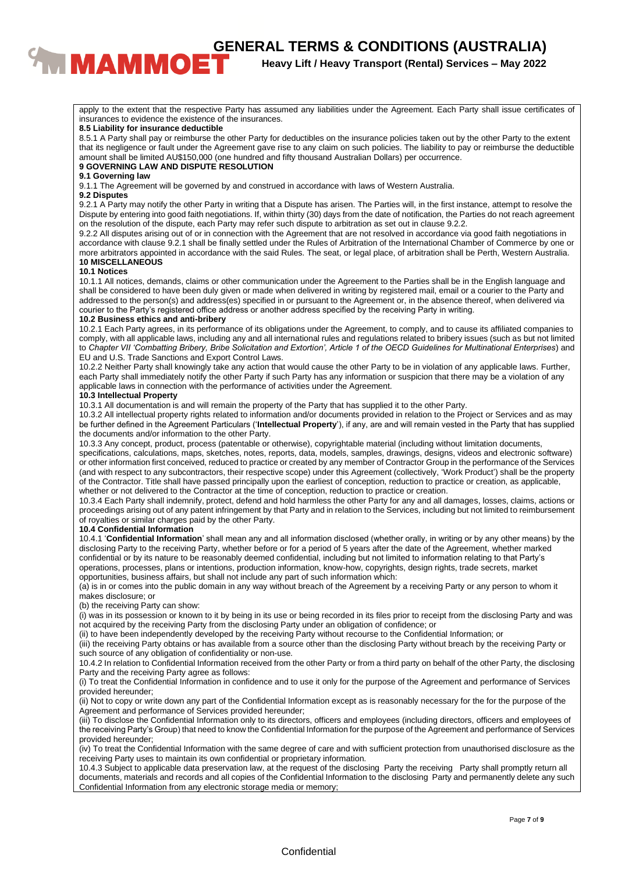**CENERAL TERMS & CONDITIONS (AUSTRALIA)**<br><sup>Heavy Lift / Heavy Transport (Rental) Services – May 2022</sup>

**Heavy Lift / Heavy Transport (Rental) Services – May 2022**

apply to the extent that the respective Party has assumed any liabilities under the Agreement. Each Party shall issue certificates of insurances to evidence the existence of the insurances.

### **8.5 Liability for insurance deductible**

8.5.1 A Party shall pay or reimburse the other Party for deductibles on the insurance policies taken out by the other Party to the extent that its negligence or fault under the Agreement gave rise to any claim on such policies. The liability to pay or reimburse the deductible amount shall be limited AU\$150,000 (one hundred and fifty thousand Australian Dollars) per occurrence.

# **9 GOVERNING LAW AND DISPUTE RESOLUTION**

### **9.1 Governing law**

9.1.1 The Agreement will be governed by and construed in accordance with laws of Western Australia.

### **9.2 Disputes**

9.2.1 A Party may notify the other Party in writing that a Dispute has arisen. The Parties will, in the first instance, attempt to resolve the Dispute by entering into good faith negotiations. If, within thirty (30) days from the date of notification, the Parties do not reach agreement on the resolution of the dispute, each Party may refer such dispute to arbitration as set out in clause 9.2.2.

9.2.2 All disputes arising out of or in connection with the Agreement that are not resolved in accordance via good faith negotiations in accordance with clause 9.2.1 shall be finally settled under the Rules of Arbitration of the International Chamber of Commerce by one or more arbitrators appointed in accordance with the said Rules. The seat, or legal place, of arbitration shall be Perth, Western Australia. **10 MISCELLANEOUS**

### **10.1 Notices**

10.1.1 All notices, demands, claims or other communication under the Agreement to the Parties shall be in the English language and shall be considered to have been duly given or made when delivered in writing by registered mail, email or a courier to the Party and addressed to the person(s) and address(es) specified in or pursuant to the Agreement or, in the absence thereof, when delivered via courier to the Party's registered office address or another address specified by the receiving Party in writing.

### **10.2 Business ethics and anti-bribery**

10.2.1 Each Party agrees, in its performance of its obligations under the Agreement, to comply, and to cause its affiliated companies to comply, with all applicable laws, including any and all international rules and regulations related to bribery issues (such as but not limited to *Chapter VII 'Combatting Bribery, Bribe Solicitation and Extortion', Article 1 of the OECD Guidelines for Multinational Enterprises*) and EU and U.S. Trade Sanctions and Export Control Laws.

10.2.2 Neither Party shall knowingly take any action that would cause the other Party to be in violation of any applicable laws. Further, each Party shall immediately notify the other Party if such Party has any information or suspicion that there may be a violation of any applicable laws in connection with the performance of activities under the Agreement.

### **10.3 Intellectual Property**

10.3.1 All documentation is and will remain the property of the Party that has supplied it to the other Party.

10.3.2 All intellectual property rights related to information and/or documents provided in relation to the Project or Services and as may be further defined in the Agreement Particulars ('**Intellectual Property**'), if any, are and will remain vested in the Party that has supplied the documents and/or information to the other Party.

10.3.3 Any concept, product, process (patentable or otherwise), copyrightable material (including without limitation documents, specifications, calculations, maps, sketches, notes, reports, data, models, samples, drawings, designs, videos and electronic software) or other information first conceived, reduced to practice or created by any member of Contractor Group in the performance of the Services (and with respect to any subcontractors, their respective scope) under this Agreement (collectively, 'Work Product') shall be the property of the Contractor. Title shall have passed principally upon the earliest of conception, reduction to practice or creation, as applicable, whether or not delivered to the Contractor at the time of conception, reduction to practice or creation.

10.3.4 Each Party shall indemnify, protect, defend and hold harmless the other Party for any and all damages, losses, claims, actions or proceedings arising out of any patent infringement by that Party and in relation to the Services, including but not limited to reimbursement of royalties or similar charges paid by the other Party.

### **10.4 Confidential Information**

10.4.1 '**Confidential Information**' shall mean any and all information disclosed (whether orally, in writing or by any other means) by the disclosing Party to the receiving Party, whether before or for a period of 5 years after the date of the Agreement, whether marked confidential or by its nature to be reasonably deemed confidential, including but not limited to information relating to that Party's operations, processes, plans or intentions, production information, know-how, copyrights, design rights, trade secrets, market opportunities, business affairs, but shall not include any part of such information which:

(a) is in or comes into the public domain in any way without breach of the Agreement by a receiving Party or any person to whom it makes disclosure; or

### (b) the receiving Party can show:

(i) was in its possession or known to it by being in its use or being recorded in its files prior to receipt from the disclosing Party and was not acquired by the receiving Party from the disclosing Party under an obligation of confidence; or

(ii) to have been independently developed by the receiving Party without recourse to the Confidential Information; or

(iii) the receiving Party obtains or has available from a source other than the disclosing Party without breach by the receiving Party or such source of any obligation of confidentiality or non-use.

10.4.2 In relation to Confidential Information received from the other Party or from a third party on behalf of the other Party, the disclosing Party and the receiving Party agree as follows:

(i) To treat the Confidential Information in confidence and to use it only for the purpose of the Agreement and performance of Services provided hereunder;

(ii) Not to copy or write down any part of the Confidential Information except as is reasonably necessary for the for the purpose of the Agreement and performance of Services provided hereunder;

(iii) To disclose the Confidential Information only to its directors, officers and employees (including directors, officers and employees of the receiving Party's Group) that need to know the Confidential Information for the purpose of the Agreement and performance of Services provided hereunder;

(iv) To treat the Confidential Information with the same degree of care and with sufficient protection from unauthorised disclosure as the receiving Party uses to maintain its own confidential or proprietary information.

10.4.3 Subject to applicable data preservation law, at the request of the disclosing Party the receiving Party shall promptly return all documents, materials and records and all copies of the Confidential Information to the disclosing Party and permanently delete any such Confidential Information from any electronic storage media or memory;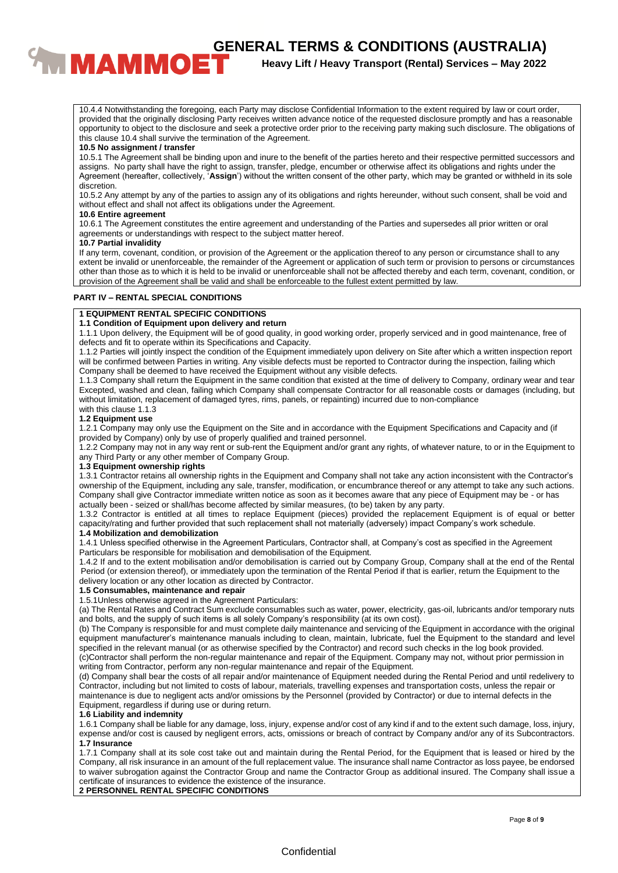**CENERAL TERMS & CONDITIONS (AUSTRALIA)**<br>**BENERAL TERMS & CONDITIONS (AUSTRALIA)**<br>Heavy Lift / Heavy Transport (Rental) Services – May 2022

**Heavy Lift / Heavy Transport (Rental) Services – May 2022**

10.4.4 Notwithstanding the foregoing, each Party may disclose Confidential Information to the extent required by law or court order, provided that the originally disclosing Party receives written advance notice of the requested disclosure promptly and has a reasonable opportunity to object to the disclosure and seek a protective order prior to the receiving party making such disclosure. The obligations of this clause 10.4 shall survive the termination of the Agreement.

### **10.5 No assignment / transfer**

10.5.1 The Agreement shall be binding upon and inure to the benefit of the parties hereto and their respective permitted successors and assigns. No party shall have the right to assign, transfer, pledge, encumber or otherwise affect its obligations and rights under the Agreement (hereafter, collectively, '**Assign**') without the written consent of the other party, which may be granted or withheld in its sole discretion.

10.5.2 Any attempt by any of the parties to assign any of its obligations and rights hereunder, without such consent, shall be void and without effect and shall not affect its obligations under the Agreement.

### **10.6 Entire agreement**

10.6.1 The Agreement constitutes the entire agreement and understanding of the Parties and supersedes all prior written or oral agreements or understandings with respect to the subject matter hereof.

### **10.7 Partial invalidity**

If any term, covenant, condition, or provision of the Agreement or the application thereof to any person or circumstance shall to any extent be invalid or unenforceable, the remainder of the Agreement or application of such term or provision to persons or circumstances other than those as to which it is held to be invalid or unenforceable shall not be affected thereby and each term, covenant, condition, or provision of the Agreement shall be valid and shall be enforceable to the fullest extent permitted by law.

### **PART IV – RENTAL SPECIAL CONDITIONS**

### **1 EQUIPMENT RENTAL SPECIFIC CONDITIONS**

### **1.1 Condition of Equipment upon delivery and return**

1.1.1 Upon delivery, the Equipment will be of good quality, in good working order, properly serviced and in good maintenance, free of defects and fit to operate within its Specifications and Capacity.

1.1.2 Parties will jointly inspect the condition of the Equipment immediately upon delivery on Site after which a written inspection report will be confirmed between Parties in writing. Any visible defects must be reported to Contractor during the inspection, failing which Company shall be deemed to have received the Equipment without any visible defects.

1.1.3 Company shall return the Equipment in the same condition that existed at the time of delivery to Company, ordinary wear and tear Excepted, washed and clean, failing which Company shall compensate Contractor for all reasonable costs or damages (including, but without limitation, replacement of damaged tyres, rims, panels, or repainting) incurred due to non-compliance with this clause 1.1.3

### **1.2 Equipment use**

1.2.1 Company may only use the Equipment on the Site and in accordance with the Equipment Specifications and Capacity and (if provided by Company) only by use of properly qualified and trained personnel.

1.2.2 Company may not in any way rent or sub-rent the Equipment and/or grant any rights, of whatever nature, to or in the Equipment to any Third Party or any other member of Company Group.

### **1.3 Equipment ownership rights**

1.3.1 Contractor retains all ownership rights in the Equipment and Company shall not take any action inconsistent with the Contractor's ownership of the Equipment, including any sale, transfer, modification, or encumbrance thereof or any attempt to take any such actions. Company shall give Contractor immediate written notice as soon as it becomes aware that any piece of Equipment may be - or has actually been - seized or shall/has become affected by similar measures, (to be) taken by any party.

1.3.2 Contractor is entitled at all times to replace Equipment (pieces) provided the replacement Equipment is of equal or better capacity/rating and further provided that such replacement shall not materially (adversely) impact Company's work schedule. **1.4 Mobilization and demobilization**

1.4.1 Unless specified otherwise in the Agreement Particulars, Contractor shall, at Company's cost as specified in the Agreement Particulars be responsible for mobilisation and demobilisation of the Equipment.

1.4.2 If and to the extent mobilisation and/or demobilisation is carried out by Company Group, Company shall at the end of the Rental Period (or extension thereof), or immediately upon the termination of the Rental Period if that is earlier, return the Equipment to the delivery location or any other location as directed by Contractor.

### **1.5 Consumables, maintenance and repair**

1.5.1Unless otherwise agreed in the Agreement Particulars:

(a) The Rental Rates and Contract Sum exclude consumables such as water, power, electricity, gas-oil, lubricants and/or temporary nuts and bolts, and the supply of such items is all solely Company's responsibility (at its own cost).

(b) The Company is responsible for and must complete daily maintenance and servicing of the Equipment in accordance with the original equipment manufacturer's maintenance manuals including to clean, maintain, lubricate, fuel the Equipment to the standard and level specified in the relevant manual (or as otherwise specified by the Contractor) and record such checks in the log book provided. (c)Contractor shall perform the non-regular maintenance and repair of the Equipment. Company may not, without prior permission in

writing from Contractor, perform any non-regular maintenance and repair of the Equipment. (d) Company shall bear the costs of all repair and/or maintenance of Equipment needed during the Rental Period and until redelivery to Contractor, including but not limited to costs of labour, materials, travelling expenses and transportation costs, unless the repair or maintenance is due to negligent acts and/or omissions by the Personnel (provided by Contractor) or due to internal defects in the Equipment, regardless if during use or during return.

### **1.6 Liability and indemnity**

1.6.1 Company shall be liable for any damage, loss, injury, expense and/or cost of any kind if and to the extent such damage, loss, injury, expense and/or cost is caused by negligent errors, acts, omissions or breach of contract by Company and/or any of its Subcontractors. **1.7 Insurance**

1.7.1 Company shall at its sole cost take out and maintain during the Rental Period, for the Equipment that is leased or hired by the Company, all risk insurance in an amount of the full replacement value. The insurance shall name Contractor as loss payee, be endorsed to waiver subrogation against the Contractor Group and name the Contractor Group as additional insured. The Company shall issue a certificate of insurances to evidence the existence of the insurance.

**2 PERSONNEL RENTAL SPECIFIC CONDITIONS**